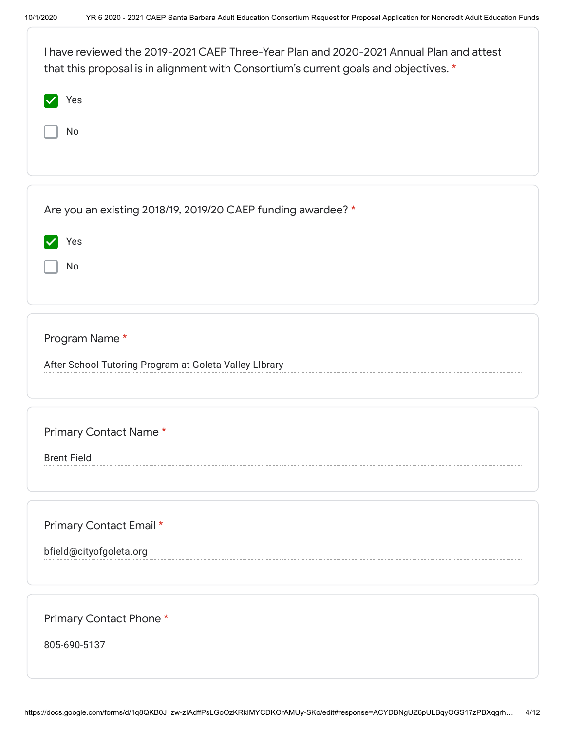| I have reviewed the 2019-2021 CAEP Three-Year Plan and 2020-2021 Annual Plan and attest<br>that this proposal is in alignment with Consortium's current goals and objectives. * |
|---------------------------------------------------------------------------------------------------------------------------------------------------------------------------------|
| Yes                                                                                                                                                                             |
| No                                                                                                                                                                              |
| Are you an existing 2018/19, 2019/20 CAEP funding awardee? *                                                                                                                    |
|                                                                                                                                                                                 |
| Yes<br>No                                                                                                                                                                       |
| Program Name*<br>After School Tutoring Program at Goleta Valley LIbrary                                                                                                         |
| Primary Contact Name*<br><b>Brent Field</b>                                                                                                                                     |
| Primary Contact Email *<br>bfield@cityofgoleta.org                                                                                                                              |
| Primary Contact Phone *<br>805-690-5137                                                                                                                                         |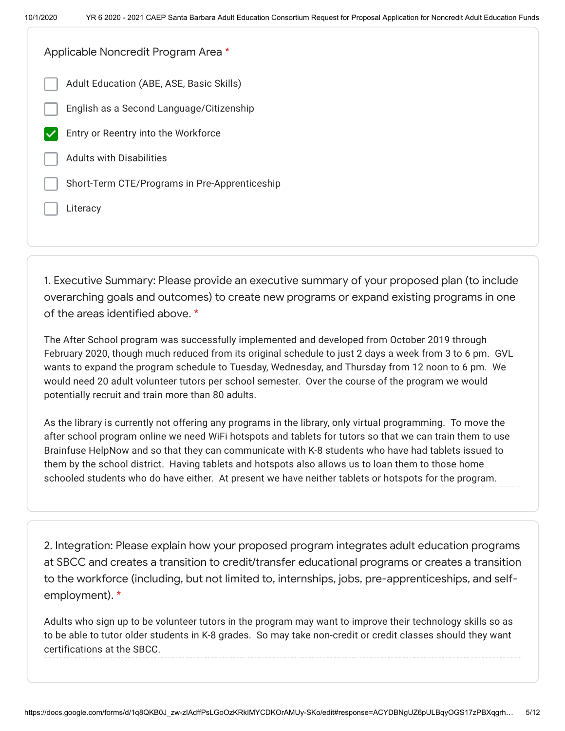Adult Education (ABE, ASE, Basic Skills) English as a Second Language/Citizenship Entry or Reentry into the Workforce Adults with Disabilities Short-Term CTE/Programs in Pre-Apprenticeship Literacy Applicable Noncredit Program Area \*

1. Executive Summary: Please provide an executive summary of your proposed plan (to include overarching goals and outcomes) to create new programs or expand existing programs in one of the areas identified above. \*

The After School program was successfully implemented and developed from October 2019 through February 2020, though much reduced from its original schedule to just 2 days a week from 3 to 6 pm. GVL wants to expand the program schedule to Tuesday, Wednesday, and Thursday from 12 noon to 6 pm. We would need 20 adult volunteer tutors per school semester. Over the course of the program we would potentially recruit and train more than 80 adults.

As the library is currently not offering any programs in the library, only virtual programming. To move the after school program online we need WiFi hotspots and tablets for tutors so that we can train them to use Brainfuse HelpNow and so that they can communicate with K-8 students who have had tablets issued to them by the school district. Having tablets and hotspots also allows us to loan them to those home schooled students who do have either. At present we have neither tablets or hotspots for the program.

2. Integration: Please explain how your proposed program integrates adult education programs at SBCC and creates a transition to credit/transfer educational programs or creates a transition to the workforce (including, but not limited to, internships, jobs, pre-apprenticeships, and selfemployment). \*

Adults who sign up to be volunteer tutors in the program may want to improve their technology skills so as to be able to tutor older students in K-8 grades. So may take non-credit or credit classes should they want certifications at the SBCC.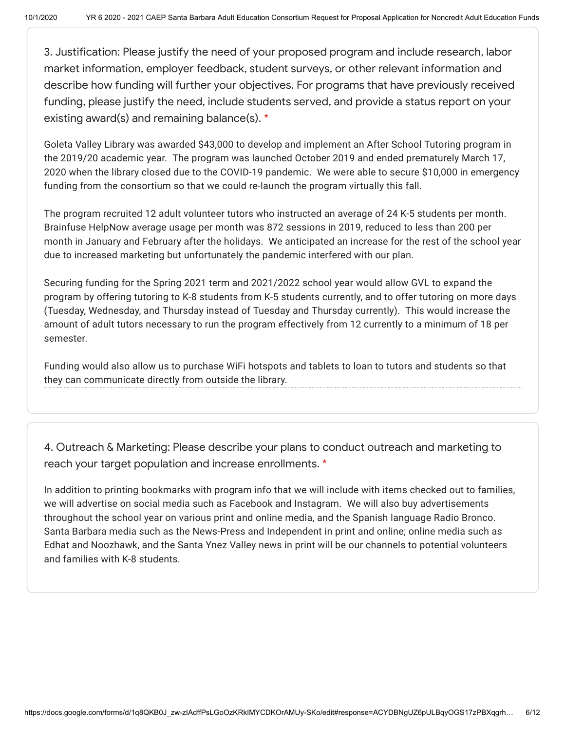3. Justification: Please justify the need of your proposed program and include research, labor market information, employer feedback, student surveys, or other relevant information and describe how funding will further your objectives. For programs that have previously received funding, please justify the need, include students served, and provide a status report on your existing award(s) and remaining balance(s). \*

Goleta Valley Library was awarded \$43,000 to develop and implement an After School Tutoring program in the 2019/20 academic year. The program was launched October 2019 and ended prematurely March 17, 2020 when the library closed due to the COVID-19 pandemic. We were able to secure \$10,000 in emergency funding from the consortium so that we could re-launch the program virtually this fall.

The program recruited 12 adult volunteer tutors who instructed an average of 24 K-5 students per month. Brainfuse HelpNow average usage per month was 872 sessions in 2019, reduced to less than 200 per month in January and February after the holidays. We anticipated an increase for the rest of the school year due to increased marketing but unfortunately the pandemic interfered with our plan.

Securing funding for the Spring 2021 term and 2021/2022 school year would allow GVL to expand the program by offering tutoring to K-8 students from K-5 students currently, and to offer tutoring on more days (Tuesday, Wednesday, and Thursday instead of Tuesday and Thursday currently). This would increase the amount of adult tutors necessary to run the program effectively from 12 currently to a minimum of 18 per semester.

Funding would also allow us to purchase WiFi hotspots and tablets to loan to tutors and students so that they can communicate directly from outside the library.

4. Outreach & Marketing: Please describe your plans to conduct outreach and marketing to reach your target population and increase enrollments. \*

In addition to printing bookmarks with program info that we will include with items checked out to families, we will advertise on social media such as Facebook and Instagram. We will also buy advertisements throughout the school year on various print and online media, and the Spanish language Radio Bronco. Santa Barbara media such as the News-Press and Independent in print and online; online media such as Edhat and Noozhawk, and the Santa Ynez Valley news in print will be our channels to potential volunteers and families with K-8 students.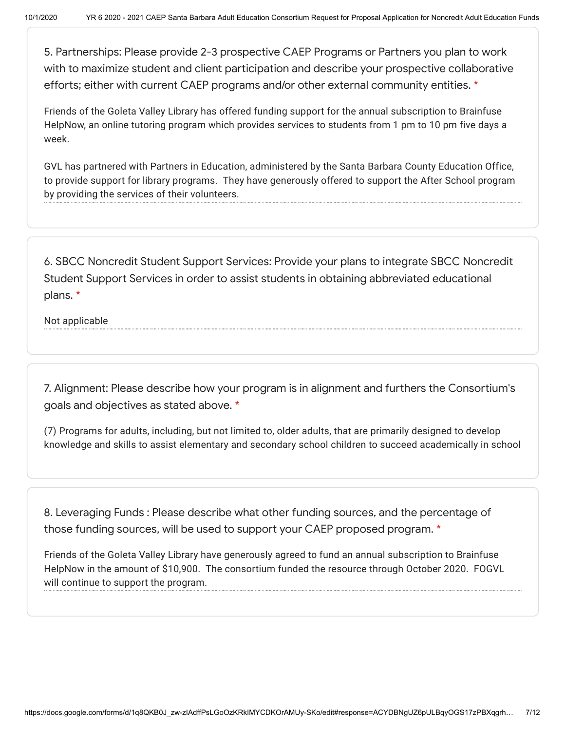5. Partnerships: Please provide 2-3 prospective CAEP Programs or Partners you plan to work with to maximize student and client participation and describe your prospective collaborative efforts; either with current CAEP programs and/or other external community entities. \*

Friends of the Goleta Valley Library has offered funding support for the annual subscription to Brainfuse HelpNow, an online tutoring program which provides services to students from 1 pm to 10 pm five days a week.

GVL has partnered with Partners in Education, administered by the Santa Barbara County Education Office, to provide support for library programs. They have generously offered to support the After School program by providing the services of their volunteers.

6. SBCC Noncredit Student Support Services: Provide your plans to integrate SBCC Noncredit Student Support Services in order to assist students in obtaining abbreviated educational plans. \*

Not applicable

7. Alignment: Please describe how your program is in alignment and furthers the Consortium's goals and objectives as stated above. \*

(7) Programs for adults, including, but not limited to, older adults, that are primarily designed to develop knowledge and skills to assist elementary and secondary school children to succeed academically in school

8. Leveraging Funds : Please describe what other funding sources, and the percentage of those funding sources, will be used to support your CAEP proposed program. \*

Friends of the Goleta Valley Library have generously agreed to fund an annual subscription to Brainfuse HelpNow in the amount of \$10,900. The consortium funded the resource through October 2020. FOGVL will continue to support the program.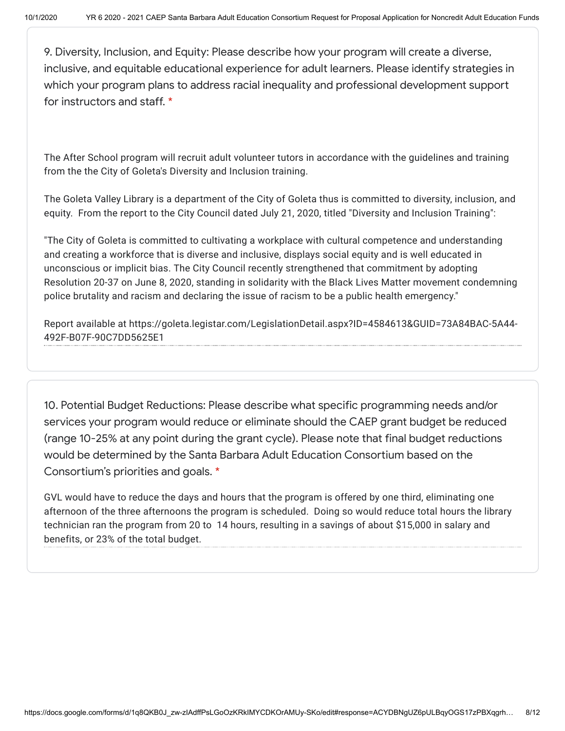9. Diversity, Inclusion, and Equity: Please describe how your program will create a diverse, inclusive, and equitable educational experience for adult learners. Please identify strategies in which your program plans to address racial inequality and professional development support for instructors and staff. \*

The After School program will recruit adult volunteer tutors in accordance with the guidelines and training from the the City of Goleta's Diversity and Inclusion training.

The Goleta Valley Library is a department of the City of Goleta thus is committed to diversity, inclusion, and equity. From the report to the City Council dated July 21, 2020, titled "Diversity and Inclusion Training":

"The City of Goleta is committed to cultivating a workplace with cultural competence and understanding and creating a workforce that is diverse and inclusive, displays social equity and is well educated in unconscious or implicit bias. The City Council recently strengthened that commitment by adopting Resolution 20-37 on June 8, 2020, standing in solidarity with the Black Lives Matter movement condemning police brutality and racism and declaring the issue of racism to be a public health emergency."

Report available at https://goleta.legistar.com/LegislationDetail.aspx?ID=4584613&GUID=73A84BAC-5A44- 492F-B07F-90C7DD5625E1

10. Potential Budget Reductions: Please describe what specific programming needs and/or services your program would reduce or eliminate should the CAEP grant budget be reduced (range 10-25% at any point during the grant cycle). Please note that final budget reductions would be determined by the Santa Barbara Adult Education Consortium based on the Consortium's priorities and goals. \*

GVL would have to reduce the days and hours that the program is offered by one third, eliminating one afternoon of the three afternoons the program is scheduled. Doing so would reduce total hours the library technician ran the program from 20 to 14 hours, resulting in a savings of about \$15,000 in salary and benefits, or 23% of the total budget.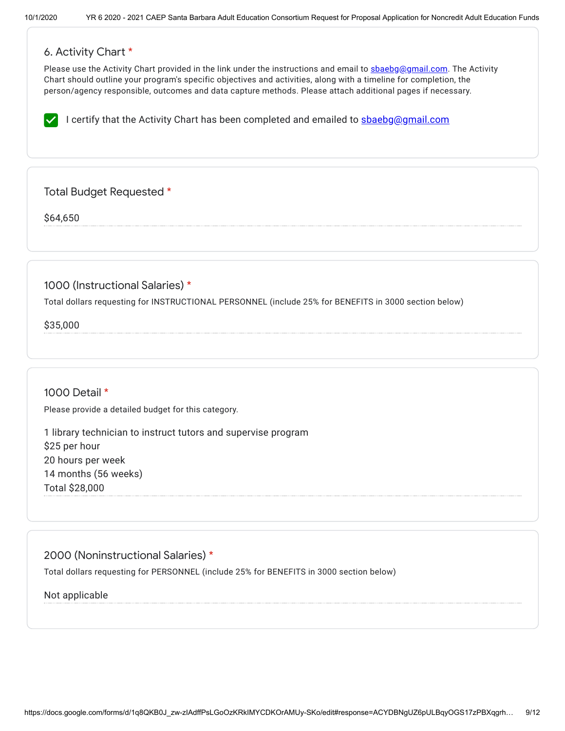# 6. Activity Chart \*

Please use the Activity Chart provided in the link under the instructions and email to [sbaebg@gmail.com.](mailto:sbaebg@gmail.com) The Activity Chart should outline your program's specific objectives and activities, along with a timeline for completion, the person/agency responsible, outcomes and data capture methods. Please attach additional pages if necessary.

I certify that the Activity Chart has been completed and emailed to  $\frac{\text{sheb}g_{\text{gamma}}}{\text{sheb}g_{\text{gamma}}}$ 

Total Budget Requested \*

\$64,650

1000 (Instructional Salaries) \*

Total dollars requesting for INSTRUCTIONAL PERSONNEL (include 25% for BENEFITS in 3000 section below)

\$35,000

# 1000 Detail \*

Please provide a detailed budget for this category.

1 library technician to instruct tutors and supervise program \$25 per hour 20 hours per week 14 months (56 weeks) Total \$28,000

2000 (Noninstructional Salaries) \* Total dollars requesting for PERSONNEL (include 25% for BENEFITS in 3000 section below)

Not applicable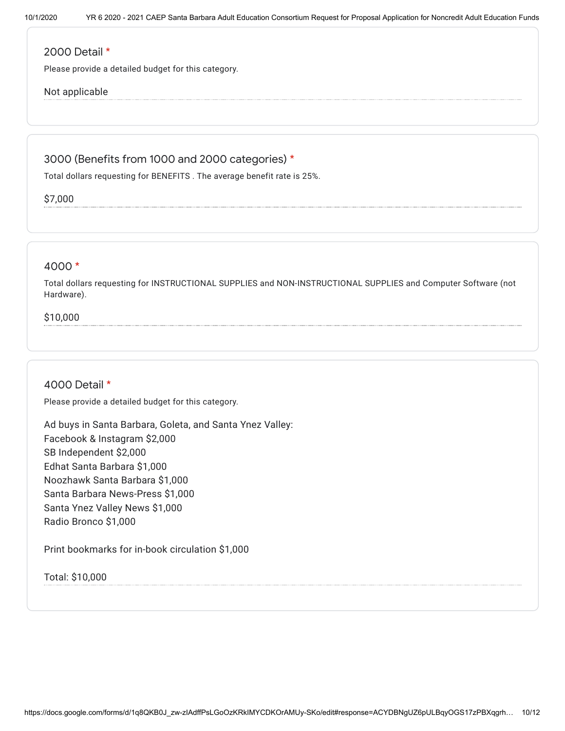#### 2000 Detail \*

Please provide a detailed budget for this category.

### Not applicable

# 3000 (Benefits from 1000 and 2000 categories) \*

Total dollars requesting for BENEFITS . The average benefit rate is 25%.

\$7,000

### 4000 \*

Total dollars requesting for INSTRUCTIONAL SUPPLIES and NON-INSTRUCTIONAL SUPPLIES and Computer Software (not Hardware).

# \$10,000

#### 4000 Detail \*

Please provide a detailed budget for this category.

Ad buys in Santa Barbara, Goleta, and Santa Ynez Valley: Facebook & Instagram \$2,000 SB Independent \$2,000 Edhat Santa Barbara \$1,000 Noozhawk Santa Barbara \$1,000 Santa Barbara News-Press \$1,000 Santa Ynez Valley News \$1,000 Radio Bronco \$1,000

Print bookmarks for in-book circulation \$1,000

Total: \$10,000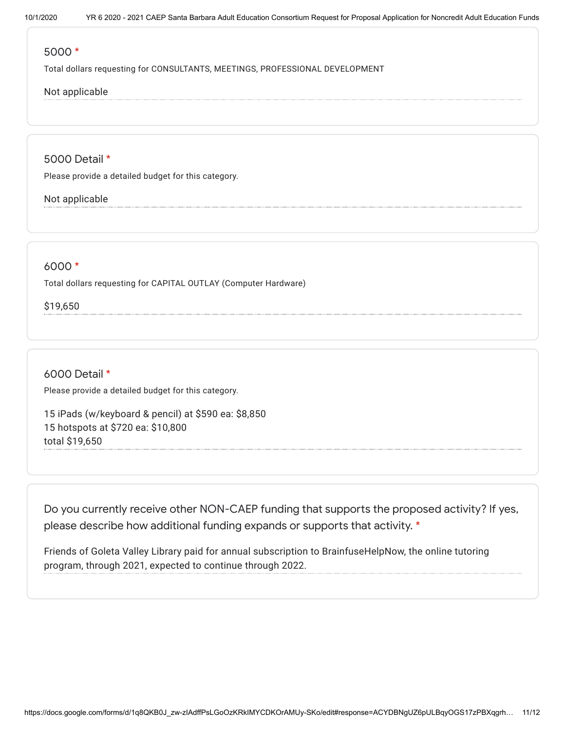#### 5000 \*

Total dollars requesting for CONSULTANTS, MEETINGS, PROFESSIONAL DEVELOPMENT

# Not applicable

5000 Detail \*

Please provide a detailed budget for this category.

#### Not applicable

## 6000 \*

Total dollars requesting for CAPITAL OUTLAY (Computer Hardware)

\$19,650

## 6000 Detail \*

Please provide a detailed budget for this category.

15 iPads (w/keyboard & pencil) at \$590 ea: \$8,850 15 hotspots at \$720 ea: \$10,800 total \$19,650

Do you currently receive other NON-CAEP funding that supports the proposed activity? If yes, please describe how additional funding expands or supports that activity. \*

Friends of Goleta Valley Library paid for annual subscription to BrainfuseHelpNow, the online tutoring program, through 2021, expected to continue through 2022.